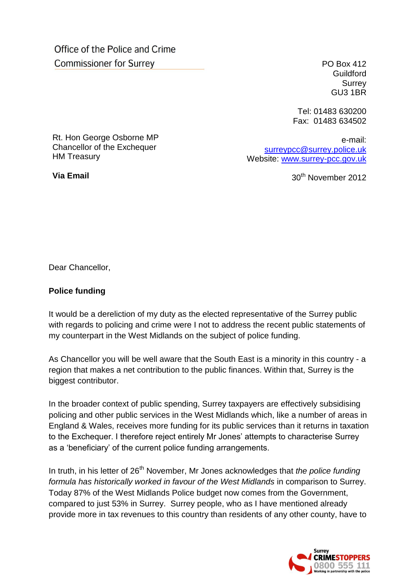Office of the Police and Crime **Commissioner for Surrey** 

PO Box 412 **Guildford** Surrey GU3 1BR

Tel: 01483 630200 Fax: 01483 634502

Rt. Hon George Osborne MP Chancellor of the Exchequer HM Treasury

**Via Email**

e-mail: [surreypcc@surrey.police.uk](mailto:surreypcc@surrey.police.uk) Website: [www.surrey-pcc.gov.uk](http://www.surrey-pcc.gov.uk/) 

30th November 2012

Dear Chancellor,

## **Police funding**

It would be a dereliction of my duty as the elected representative of the Surrey public with regards to policing and crime were I not to address the recent public statements of my counterpart in the West Midlands on the subject of police funding.

As Chancellor you will be well aware that the South East is a minority in this country - a region that makes a net contribution to the public finances. Within that, Surrey is the biggest contributor.

In the broader context of public spending, Surrey taxpayers are effectively subsidising policing and other public services in the West Midlands which, like a number of areas in England & Wales, receives more funding for its public services than it returns in taxation to the Exchequer. I therefore reject entirely Mr Jones' attempts to characterise Surrey as a 'beneficiary' of the current police funding arrangements.

In truth, in his letter of 26<sup>th</sup> November, Mr Jones acknowledges that *the police funding formula has historically worked in favour of the West Midlands* in comparison to Surrey. Today 87% of the West Midlands Police budget now comes from the Government, compared to just 53% in Surrey. Surrey people, who as I have mentioned already provide more in tax revenues to this country than residents of any other county, have to

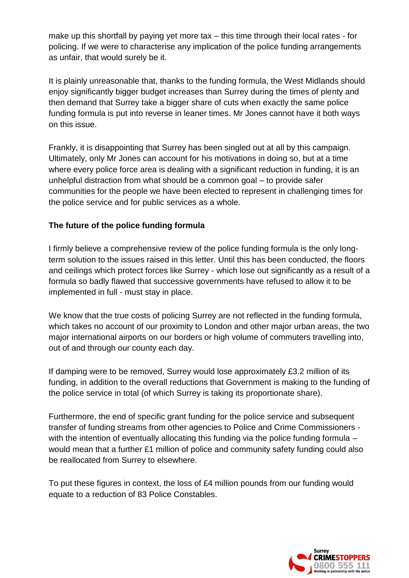make up this shortfall by paying yet more tax – this time through their local rates - for policing. If we were to characterise any implication of the police funding arrangements as unfair, that would surely be it.

It is plainly unreasonable that, thanks to the funding formula, the West Midlands should enjoy significantly bigger budget increases than Surrey during the times of plenty and then demand that Surrey take a bigger share of cuts when exactly the same police funding formula is put into reverse in leaner times. Mr Jones cannot have it both ways on this issue.

Frankly, it is disappointing that Surrey has been singled out at all by this campaign. Ultimately, only Mr Jones can account for his motivations in doing so, but at a time where every police force area is dealing with a significant reduction in funding, it is an unhelpful distraction from what should be a common goal – to provide safer communities for the people we have been elected to represent in challenging times for the police service and for public services as a whole.

## **The future of the police funding formula**

I firmly believe a comprehensive review of the police funding formula is the only longterm solution to the issues raised in this letter. Until this has been conducted, the floors and ceilings which protect forces like Surrey - which lose out significantly as a result of a formula so badly flawed that successive governments have refused to allow it to be implemented in full - must stay in place.

We know that the true costs of policing Surrey are not reflected in the funding formula, which takes no account of our proximity to London and other major urban areas, the two major international airports on our borders or high volume of commuters travelling into, out of and through our county each day.

If damping were to be removed, Surrey would lose approximately £3.2 million of its funding, in addition to the overall reductions that Government is making to the funding of the police service in total (of which Surrey is taking its proportionate share).

Furthermore, the end of specific grant funding for the police service and subsequent transfer of funding streams from other agencies to Police and Crime Commissioners with the intention of eventually allocating this funding via the police funding formula – would mean that a further £1 million of police and community safety funding could also be reallocated from Surrey to elsewhere.

To put these figures in context, the loss of £4 million pounds from our funding would equate to a reduction of 83 Police Constables.